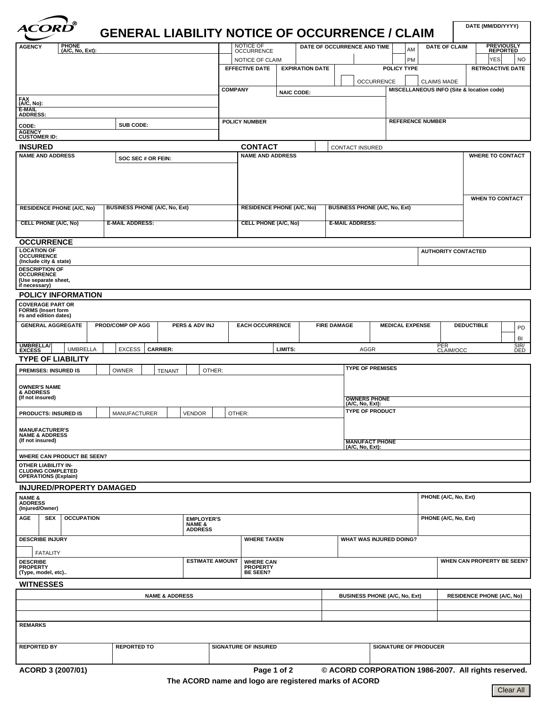| <u> ' ®</u><br><i><b>ACORD</b></i>                                                                 | <b>GENERAL LIABILITY NOTICE OF OCCURRENCE / CLAIM</b> |                         |                        |                                                                          |                   |                        |                             |                                                     |                         |                      |                            |                                  | DATE (MM/DD/YYYY)                         |                         |  |
|----------------------------------------------------------------------------------------------------|-------------------------------------------------------|-------------------------|------------------------|--------------------------------------------------------------------------|-------------------|------------------------|-----------------------------|-----------------------------------------------------|-------------------------|----------------------|----------------------------|----------------------------------|-------------------------------------------|-------------------------|--|
| PHONE<br>(A/C, No, Ext):<br><b>AGENCY</b>                                                          |                                                       |                         |                        | NOTICE OF<br>OCCURRENCE                                                  |                   |                        | DATE OF OCCURRENCE AND TIME |                                                     |                         | AM                   |                            | <b>DATE OF CLAIM</b>             | <b>PREVIOUSLY</b><br><b>REPORTED</b>      |                         |  |
|                                                                                                    |                                                       |                         |                        | NOTICE OF CLAIM                                                          |                   |                        |                             |                                                     |                         | PM                   |                            |                                  | YES                                       | NO.                     |  |
|                                                                                                    |                                                       |                         |                        | <b>EFFECTIVE DATE</b>                                                    |                   | <b>EXPIRATION DATE</b> |                             |                                                     | POLICY TYPE             |                      |                            |                                  |                                           | <b>RETROACTIVE DATE</b> |  |
|                                                                                                    |                                                       |                         |                        |                                                                          |                   |                        |                             | <b>OCCURRENCE</b>                                   |                         |                      | <b>CLAIMS MADE</b>         |                                  |                                           |                         |  |
|                                                                                                    |                                                       |                         | <b>COMPANY</b>         |                                                                          | <b>NAIC CODE:</b> |                        |                             |                                                     |                         |                      |                            |                                  | MISCELLANEOUS INFO (Site & location code) |                         |  |
| FAX<br>(A/C, No):                                                                                  |                                                       |                         |                        |                                                                          |                   |                        |                             |                                                     |                         |                      |                            |                                  |                                           |                         |  |
| E-MAIL<br><b>ADDRESS:</b>                                                                          |                                                       |                         |                        |                                                                          |                   |                        |                             |                                                     |                         |                      |                            |                                  |                                           |                         |  |
| SUB CODE:<br>CODE:                                                                                 |                                                       |                         |                        | <b>POLICY NUMBER</b>                                                     |                   |                        |                             |                                                     | <b>REFERENCE NUMBER</b> |                      |                            |                                  |                                           |                         |  |
| <b>AGENCY</b><br><b>CUSTOMER ID:</b>                                                               |                                                       |                         |                        |                                                                          |                   |                        |                             |                                                     |                         |                      |                            |                                  |                                           |                         |  |
| <b>INSURED</b>                                                                                     |                                                       |                         |                        | <b>CONTACT</b>                                                           |                   |                        |                             | <b>CONTACT INSURED</b>                              |                         |                      |                            |                                  |                                           |                         |  |
| <b>NAME AND ADDRESS</b>                                                                            |                                                       | <b>NAME AND ADDRESS</b> |                        |                                                                          |                   |                        |                             | <b>WHERE TO CONTACT</b>                             |                         |                      |                            |                                  |                                           |                         |  |
|                                                                                                    |                                                       |                         |                        |                                                                          |                   |                        |                             |                                                     |                         |                      |                            |                                  |                                           |                         |  |
| <b>BUSINESS PHONE (A/C, No, Ext)</b><br><b>RESIDENCE PHONE (A/C, No)</b>                           |                                                       |                         |                        | <b>RESIDENCE PHONE (A/C, No)</b><br><b>BUSINESS PHONE (A/C, No, Ext)</b> |                   |                        |                             |                                                     | <b>WHEN TO CONTACT</b>  |                      |                            |                                  |                                           |                         |  |
| <b>CELL PHONE (A/C, No)</b><br><b>E-MAIL ADDRESS:</b>                                              |                                                       |                         |                        | <b>CELL PHONE (A/C, No)</b>                                              |                   |                        |                             | <b>E-MAIL ADDRESS:</b>                              |                         |                      |                            |                                  |                                           |                         |  |
|                                                                                                    |                                                       |                         |                        |                                                                          |                   |                        |                             |                                                     |                         |                      |                            |                                  |                                           |                         |  |
| <b>OCCURRENCE</b><br><b>LOCATION OF</b>                                                            |                                                       |                         |                        |                                                                          |                   |                        |                             |                                                     |                         |                      | <b>AUTHORITY CONTACTED</b> |                                  |                                           |                         |  |
| <b>OCCURRENCE</b><br>(Include city & state)                                                        |                                                       |                         |                        |                                                                          |                   |                        |                             |                                                     |                         |                      |                            |                                  |                                           |                         |  |
| <b>DESCRIPTION OF</b><br><b>OCCURRENCE</b>                                                         |                                                       |                         |                        |                                                                          |                   |                        |                             |                                                     |                         |                      |                            |                                  |                                           |                         |  |
| (Use separate sheet,<br>if necessary)                                                              |                                                       |                         |                        |                                                                          |                   |                        |                             |                                                     |                         |                      |                            |                                  |                                           |                         |  |
| <b>POLICY INFORMATION</b>                                                                          |                                                       |                         |                        |                                                                          |                   |                        |                             |                                                     |                         |                      |                            |                                  |                                           |                         |  |
| <b>COVERAGE PART OR</b><br><b>FORMS (Insert form</b><br>#s and edition dates)                      |                                                       |                         |                        |                                                                          |                   |                        |                             |                                                     |                         |                      |                            |                                  |                                           |                         |  |
| <b>GENERAL AGGREGATE</b><br><b>PROD/COMP OP AGG</b><br>PERS & ADV INJ                              |                                                       |                         |                        | <b>EACH OCCURRENCE</b>                                                   |                   |                        | <b>FIRE DAMAGE</b>          | <b>MEDICAL EXPENSE</b>                              |                         |                      |                            |                                  | <b>DEDUCTIBLE</b>                         | PD<br>BI                |  |
| <b>UMBRELLA</b><br><b>UMBRELLA</b>                                                                 | <b>EXCESS</b>                                         | <b>CARRIER:</b>         |                        |                                                                          | LIMITS:           |                        |                             | <b>AGGR</b>                                         |                         |                      | PER                        | CLAIM/OCC                        |                                           | SIR/<br>DED             |  |
| <b>TYPE OF LIABILITY</b>                                                                           |                                                       |                         |                        |                                                                          |                   |                        |                             |                                                     |                         |                      |                            |                                  |                                           |                         |  |
| <b>PREMISES: INSURED IS</b><br>OTHER:<br><b>OWNER</b><br><b>TENANT</b>                             |                                                       |                         |                        |                                                                          |                   |                        |                             | <b>TYPE OF PREMISES</b>                             |                         |                      |                            |                                  |                                           |                         |  |
| <b>OWNER'S NAME</b><br>& ADDRESS<br>(If not insured)                                               |                                                       |                         |                        | <b>OWNERS PHONE</b>                                                      |                   |                        |                             |                                                     |                         |                      |                            |                                  |                                           |                         |  |
| <b>VENDOR</b><br><b>PRODUCTS: INSURED IS</b><br>MANUFACTURER                                       |                                                       |                         |                        | OTHER:                                                                   |                   |                        |                             | (A/C, No, Ext):<br><b>TYPE OF PRODUCT</b>           |                         |                      |                            |                                  |                                           |                         |  |
| <b>MANUFACTURER'S</b>                                                                              |                                                       |                         |                        |                                                                          |                   |                        |                             |                                                     |                         |                      |                            |                                  |                                           |                         |  |
| <b>NAME &amp; ADDRESS</b><br>(If not insured)                                                      |                                                       |                         |                        | <b>MANUFACT PHONE</b><br>(A/C, No, Ext):                                 |                   |                        |                             |                                                     |                         |                      |                            |                                  |                                           |                         |  |
| WHERE CAN PRODUCT BE SEEN?                                                                         |                                                       |                         |                        |                                                                          |                   |                        |                             |                                                     |                         |                      |                            |                                  |                                           |                         |  |
| OTHER LIABILITY IN-<br><b>CLUDING COMPLETED</b><br><b>OPERATIONS (Explain)</b>                     |                                                       |                         |                        |                                                                          |                   |                        |                             |                                                     |                         |                      |                            |                                  |                                           |                         |  |
| <b>INJURED/PROPERTY DAMAGED</b>                                                                    |                                                       |                         |                        |                                                                          |                   |                        |                             |                                                     |                         |                      |                            |                                  |                                           |                         |  |
| <b>NAME &amp;<br/>ADDRESS</b><br>(Injured/Owner)                                                   |                                                       |                         |                        |                                                                          |                   |                        |                             |                                                     |                         | PHONE (A/C, No, Ext) |                            |                                  |                                           |                         |  |
| AGE<br><b>SEX</b><br><b>OCCUPATION</b><br><b>EMPLOYER'S</b><br><b>NAME &amp;</b><br><b>ADDRESS</b> |                                                       |                         |                        |                                                                          |                   |                        |                             |                                                     |                         |                      |                            | PHONE (A/C, No, Ext)             |                                           |                         |  |
| <b>DESCRIBE INJURY</b>                                                                             |                                                       |                         |                        | <b>WHERE TAKEN</b>                                                       |                   |                        |                             | <b>WHAT WAS INJURED DOING?</b>                      |                         |                      |                            |                                  |                                           |                         |  |
| <b>FATALITY</b>                                                                                    |                                                       |                         | <b>ESTIMATE AMOUNT</b> |                                                                          |                   |                        |                             |                                                     |                         |                      |                            |                                  |                                           |                         |  |
| <b>DESCRIBE</b><br><b>PROPERTY</b><br>(Type, model, etc)                                           |                                                       |                         |                        | <b>WHERE CAN</b><br><b>PROPERTY</b><br><b>BE SEEN?</b>                   |                   |                        |                             | WHEN CAN PROPERTY BE SEEN?                          |                         |                      |                            |                                  |                                           |                         |  |
| <b>WITNESSES</b>                                                                                   |                                                       |                         |                        |                                                                          |                   |                        |                             |                                                     |                         |                      |                            |                                  |                                           |                         |  |
| <b>NAME &amp; ADDRESS</b>                                                                          |                                                       |                         |                        |                                                                          |                   |                        |                             | <b>BUSINESS PHONE (A/C, No, Ext)</b>                |                         |                      |                            | <b>RESIDENCE PHONE (A/C, No)</b> |                                           |                         |  |
|                                                                                                    |                                                       |                         |                        |                                                                          |                   |                        |                             |                                                     |                         |                      |                            |                                  |                                           |                         |  |
| <b>REMARKS</b>                                                                                     |                                                       |                         |                        |                                                                          |                   |                        |                             |                                                     |                         |                      |                            |                                  |                                           |                         |  |
| <b>REPORTED BY</b><br><b>REPORTED TO</b>                                                           |                                                       |                         |                        | <b>SIGNATURE OF INSURED</b>                                              |                   |                        |                             | <b>SIGNATURE OF PRODUCER</b>                        |                         |                      |                            |                                  |                                           |                         |  |
| ACORD 3 (2007/01)                                                                                  |                                                       |                         |                        | Page 1 of 2                                                              |                   |                        |                             | © ACORD CORPORATION 1986-2007. All rights reserved. |                         |                      |                            |                                  |                                           |                         |  |

৲